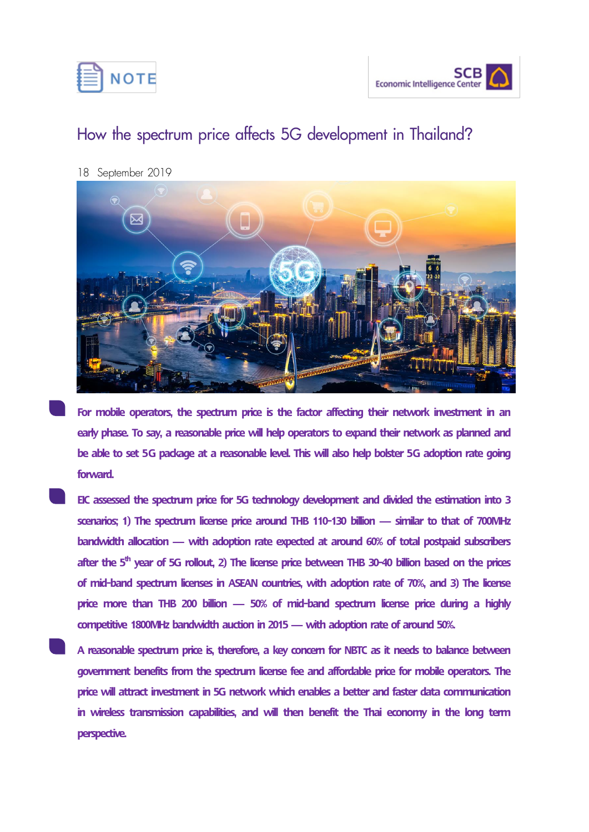



## **How the spectrum price affects 5G development in Thailand?**

18 September 2019



For mobile operators, the spectrum price is the factor affecting their network investment in an early phase. To say, a reasonable price will help operators to expand their network as planned and **be able to set 5G package at a reasonable level. This will also help bolster 5G adoption rate going forward.**

- **EIC assessed the spectrum price for 5G technology development and divided the estimation into 3 scenarios; 1) The spectrum license price around THB 110-130 billion — similar to that of 700MHz bandwidth allocation — with adoption rate expected at around 60% of total postpaid subscribers after the 5th year of 5G rollout, 2) The license price between THB 30-40 billion based on the prices of mid-band spectrum licenses in ASEAN countries, with adoption rate of 70%, and 3) The license price more than THB 200 billion — 50% of mid-band spectrum license price during a highly competitive 1800MHz bandwidth auction in 2015 —with adoption rate of around 50%.**
- **A reasonable spectrum price is, therefore, a key concern for NBTC as it needs to balance between government benefits from the spectrum license fee and affordable price for mobile operators. The price will attract investment in 5G network which enables a better and faster data communication in wireless transmission capabilities, and will then benefit the Thai economy in the long term perspective.**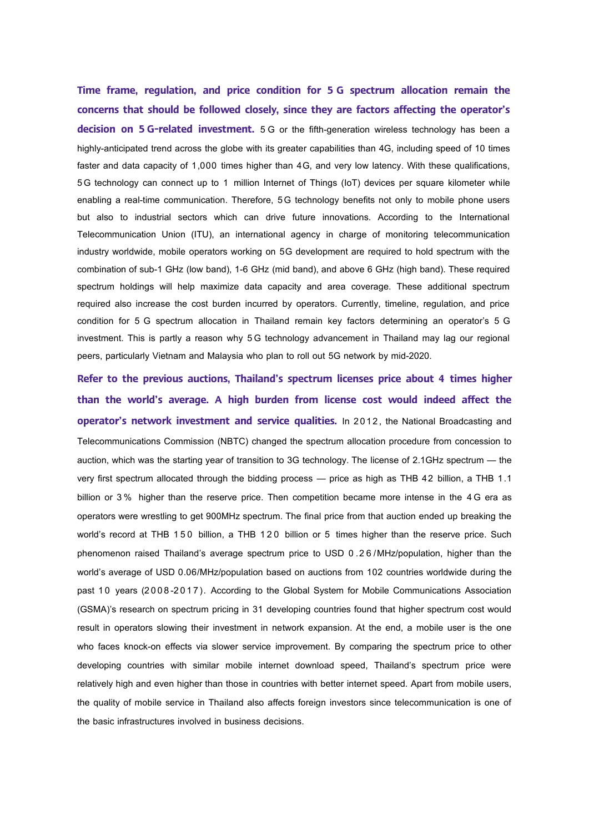**Time frame, regulation, and price condition for 5 G spectrum allocation remain the concerns that should be followed closely, since they are factors affecting the operator's decision on 5 G-related investment.** 5 G or the fifth-generation wireless technology has been a highly-anticipated trend across the globe with its greater capabilities than 4G, including speed of 10 times faster and data capacity of 1,000 times higher than 4G, and very low latency. With these qualifications, 5G technology can connect up to 1 million Internet of Things (IoT) devices per square kilometer while enabling a real-time communication. Therefore, 5G technology benefits not only to mobile phone users but also to industrial sectors which can drive future innovations. According to the International Telecommunication Union (ITU), an international agency in charge of monitoring telecommunication industry worldwide, mobile operators working on 5G development are required to hold spectrum with the combination of sub-1 GHz (low band), 1-6 GHz (mid band), and above 6 GHz (high band). These required spectrum holdings will help maximize data capacity and area coverage. These additional spectrum required also increase the cost burden incurred by operators. Currently, timeline, regulation, and price condition for 5 G spectrum allocation in Thailand remain key factors determining an operator's 5 G investment. This is partly a reason why 5G technology advancement in Thailand may lag our regional peers, particularly Vietnam and Malaysia who plan to roll out 5G network by mid-2020.

**Refer to the previous auctions, Thailand's spectrum licenses price about 4 times higher than the world's average. A high burden from license cost would indeed affect the operator's network investment and service qualities.** In 2012, the National Broadcasting and Telecommunications Commission (NBTC) changed the spectrum allocation procedure from concession to auction, which was the starting year of transition to 3G technology. The license of 2.1GHz spectrum — the very first spectrum allocated through the bidding process — price as high as THB 42 billion, a THB 1.1 billion or 3 % higher than the reserve price. Then competition became more intense in the 4 G era as operators were wrestling to get 900MHz spectrum. The final price from that auction ended up breaking the world's record at THB 150 billion, a THB 120 billion or 5 times higher than the reserve price. Such phenomenon raised Thailand's average spectrum price to USD 0 .2 6 /MHz/population, higher than the world's average of USD 0.06/MHz/population based on auctions from 102 countries worldwide during the past 10 years (2008-2017). According to the Global System for Mobile Communications Association (GSMA)'s research on spectrum pricing in 31 developing countries found that higher spectrum cost would result in operators slowing their investment in network expansion. At the end, a mobile user is the one who faces knock-on effects via slower service improvement. By comparing the spectrum price to other developing countries with similar mobile internet download speed, Thailand's spectrum price were relatively high and even higher than those in countries with better internet speed. Apart from mobile users, the quality of mobile service in Thailand also affects foreign investors since telecommunication is one of the basic infrastructures involved in business decisions.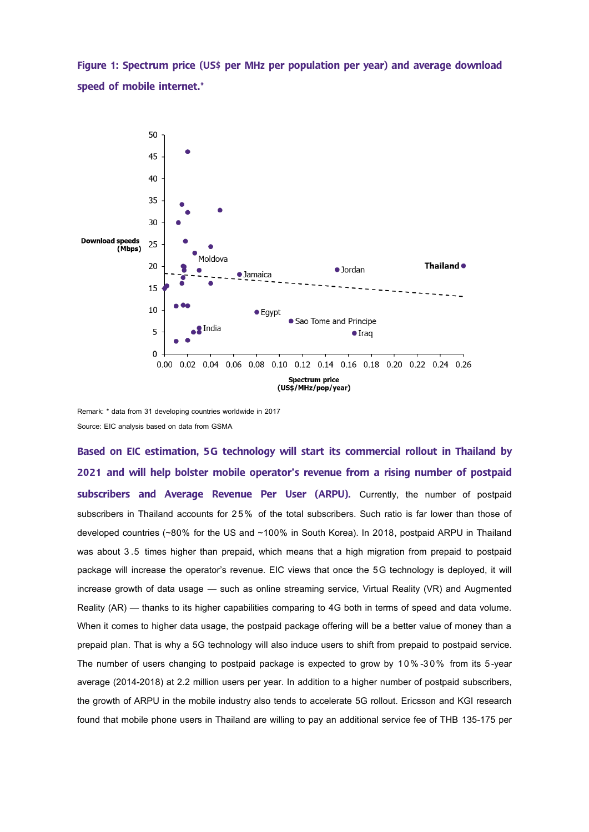**Figure 1: Spectrum price (US\$ per MHz per population per year) and average download speed of mobile internet.\***



Remark: \* data from 31 developing countries worldwide in 2017 Source: EIC analysis based on data from GSMA

**Based on EIC estimation, 5G technology will start its commercial rollout in Thailand by 2021 and will help bolster mobile operator's revenue from a rising number of postpaid subscribers and Average Revenue Per User (ARPU).** Currently, the number of postpaid subscribers in Thailand accounts for 25% of the total subscribers. Such ratio is far lower than those of developed countries (~80% for the US and ~100% in South Korea). In 2018, postpaid ARPU in Thailand was about 3 .5 times higher than prepaid, which means that a high migration from prepaid to postpaid package will increase the operator's revenue. EIC views that once the 5G technology is deployed, it will increase growth of data usage — such as online streaming service, Virtual Reality (VR) and Augmented Reality (AR) — thanks to its higher capabilities comparing to 4G both in terms of speed and data volume. When it comes to higher data usage, the postpaid package offering will be a better value of money than a prepaid plan. That is why a 5G technology will also induce users to shift from prepaid to postpaid service. The number of users changing to postpaid package is expected to grow by 10%-30% from its 5-year average (2014-2018) at 2.2 million users per year. In addition to a higher number of postpaid subscribers, the growth of ARPU in the mobile industry also tends to accelerate 5G rollout. Ericsson and KGI research found that mobile phone users in Thailand are willing to pay an additional service fee of THB 135-175 per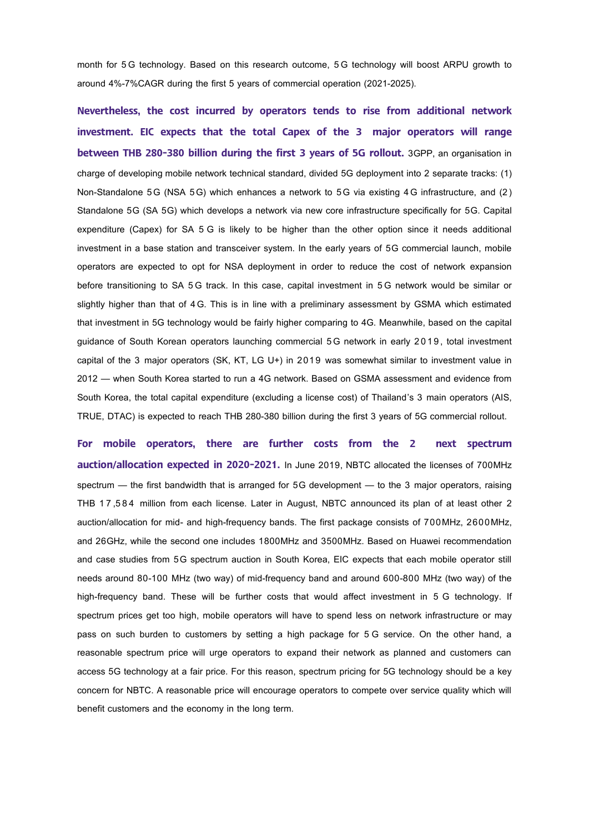month for 5 G technology. Based on this research outcome, 5 G technology will boost ARPU growth to around 4%-7%CAGR during the first 5 years of commercial operation (2021-2025).

**Nevertheless, the cost incurred by operators tends to rise from additional network investment. EIC expects that the total Capex of the 3 major operators will range between THB 280-380 billion during the first 3 years of 5G rollout.** 3GPP, an organisation in charge of developing mobile network technical standard, divided 5G deployment into 2 separate tracks: (1) Non-Standalone 5G (NSA 5G) which enhances a network to 5G via existing 4G infrastructure, and (2) Standalone 5G (SA 5G) which develops a network via new core infrastructure specifically for 5G. Capital expenditure (Capex) for SA 5 G is likely to be higher than the other option since it needs additional investment in a base station and transceiver system. In the early years of 5G commercial launch, mobile operators are expected to opt for NSA deployment in order to reduce the cost of network expansion before transitioning to SA 5G track. In this case, capital investment in 5G network would be similar or slightly higher than that of 4G. This is in line with a preliminary assessment by GSMA which estimated that investment in 5G technology would be fairly higher comparing to 4G. Meanwhile, based on the capital guidance of South Korean operators launching commercial 5G network in early 2019, total investment capital of the 3 major operators (SK, KT, LG U+) in 2019 was somewhat similar to investment value in 2012 — when South Korea started to run a 4G network. Based on GSMA assessment and evidence from South Korea, the total capital expenditure (excluding a license cost) of Thailand's 3 main operators (AIS, TRUE, DTAC) is expected to reach THB 280-380 billion during the first 3 years of 5G commercial rollout.

**For mobile operators, there are further costs from the 2 next spectrum auction/allocation expected in 2020-2021.** In June 2019, NBTC allocated the licenses of 700MHz spectrum — the first bandwidth that is arranged for 5G development — to the 3 major operators, raising THB 1 7,584 million from each license. Later in August, NBTC announced its plan of at least other 2 auction/allocation for mid- and high-frequency bands. The first package consists of 700MHz, 2600MHz, and 26GHz, while the second one includes 1800MHz and 3500MHz. Based on Huawei recommendation and case studies from 5G spectrum auction in South Korea, EIC expects that each mobile operator still needs around 80-100 MHz (two way) of mid-frequency band and around 600-800 MHz (two way) of the high-frequency band. These will be further costs that would affect investment in 5 G technology. If spectrum prices get too high, mobile operators will have to spend less on network infrastructure or may pass on such burden to customers by setting a high package for 5 G service. On the other hand, a reasonable spectrum price will urge operators to expand their network as planned and customers can access 5G technology at a fair price. For this reason, spectrum pricing for 5G technology should be a key concern for NBTC. A reasonable price will encourage operators to compete over service quality which will benefit customers and the economy in the long term.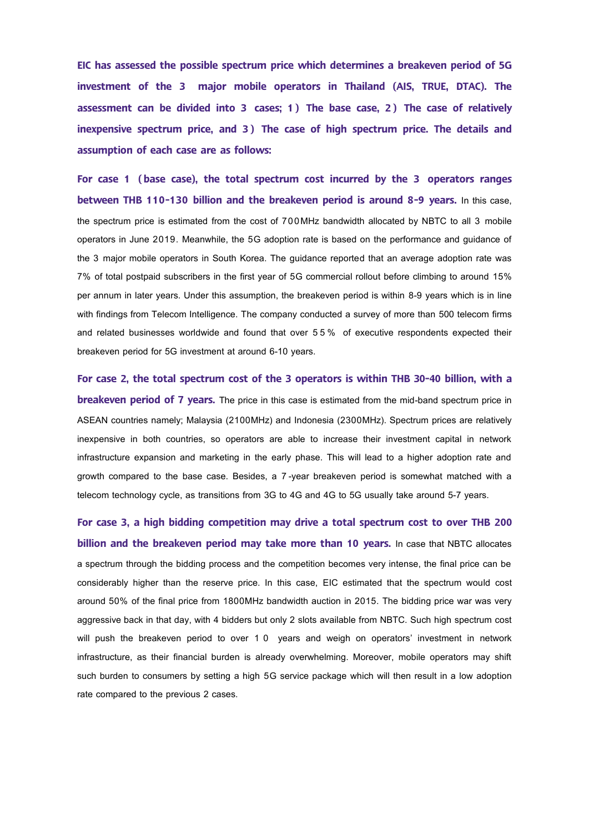**EIC has assessed the possible spectrum price which determines a breakeven period of 5G investment of the 3 major mobile operators in Thailand (AIS, TRUE, DTAC). The assessment can be divided into 3 cases; 1 ) The base case, 2 ) The case of relatively**  inexpensive spectrum price, and 3) The case of high spectrum price. The details and **assumption of each case are as follows:**

**For case 1 (base case), the total spectrum cost incurred by the 3 operators ranges between THB 110-130 billion and the breakeven period is around 8-9 years.** In this case, the spectrum price is estimated from the cost of 700MHz bandwidth allocated by NBTC to all 3 mobile operators in June 2019. Meanwhile, the 5G adoption rate is based on the performance and guidance of the 3 major mobile operators in South Korea. The guidance reported that an average adoption rate was 7% of total postpaid subscribers in the first year of 5G commercial rollout before climbing to around 15% per annum in later years. Under this assumption, the breakeven period is within 8-9 years which is in line with findings from Telecom Intelligence. The company conducted a survey of more than 500 telecom firms and related businesses worldwide and found that over 5 5 % of executive respondents expected their breakeven period for 5G investment at around 6-10 years.

**For case 2, the total spectrum cost of the 3 operators is within THB 30-40 billion, with a breakeven period of 7 years.** The price in this case is estimated from the mid-band spectrum price in ASEAN countries namely; Malaysia (2100MHz) and Indonesia (2300MHz). Spectrum prices are relatively inexpensive in both countries, so operators are able to increase their investment capital in network infrastructure expansion and marketing in the early phase. This will lead to a higher adoption rate and growth compared to the base case. Besides, a 7-year breakeven period is somewhat matched with a telecom technology cycle, as transitions from 3G to 4G and 4G to 5G usually take around 5-7 years.

**For case 3, a high bidding competition may drive a total spectrum cost to over THB 200 billion and the breakeven period may take more than 10 years.** In case that NBTC allocates a spectrum through the bidding process and the competition becomes very intense, the final price can be considerably higher than the reserve price. In this case, EIC estimated that the spectrum would cost around 50% of the final price from 1800MHz bandwidth auction in 2015. The bidding price war was very aggressive back in that day, with 4 bidders but only 2 slots available from NBTC. Such high spectrum cost will push the breakeven period to over 1 0 years and weigh on operators' investment in network infrastructure, as their financial burden is already overwhelming. Moreover, mobile operators may shift such burden to consumers by setting a high 5G service package which will then result in a low adoption rate compared to the previous 2 cases.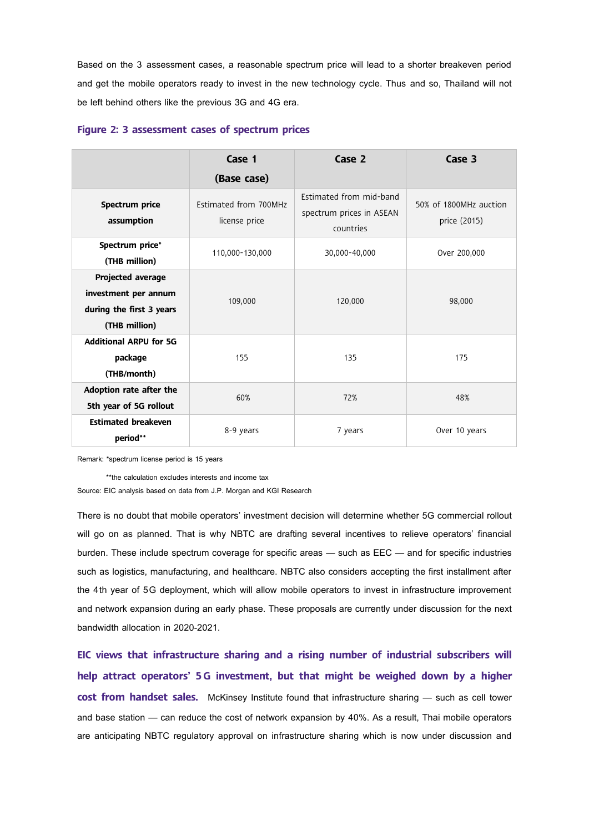Based on the 3 assessment cases, a reasonable spectrum price will lead to a shorter breakeven period and get the mobile operators ready to invest in the new technology cycle. Thus and so, Thailand will not be left behind others like the previous 3G and 4G era.

|                                                                                        | Case 1<br>(Base case)                  | Case 2                                                           | Case 3                                 |
|----------------------------------------------------------------------------------------|----------------------------------------|------------------------------------------------------------------|----------------------------------------|
| Spectrum price<br>assumption                                                           | Estimated from 700MHz<br>license price | Estimated from mid-band<br>spectrum prices in ASEAN<br>countries | 50% of 1800MHz auction<br>price (2015) |
| Spectrum price*<br>(THB million)                                                       | 110,000-130,000                        | 30,000-40,000                                                    | Over 200,000                           |
| Projected average<br>investment per annum<br>during the first 3 years<br>(THB million) | 109,000                                | 120,000                                                          | 98,000                                 |
| <b>Additional ARPU for 5G</b><br>package<br>(THB/month)                                | 155                                    | 135                                                              | 175                                    |
| Adoption rate after the<br>5th year of 5G rollout                                      | 60%                                    | 72%                                                              | 48%                                    |
| <b>Estimated breakeven</b><br>period**                                                 | 8-9 years                              | 7 years                                                          | Over 10 years                          |

## **Figure 2: 3 assessment cases of spectrum prices**

Remark: \*spectrum license period is 15 years

\*\*the calculation excludes interests and income tax

Source: EIC analysis based on data from J.P. Morgan and KGI Research

There is no doubt that mobile operators' investment decision will determine whether 5G commercial rollout will go on as planned. That is why NBTC are drafting several incentives to relieve operators' financial burden. These include spectrum coverage for specific areas — such as EEC — and for specific industries such as logistics, manufacturing, and healthcare. NBTC also considers accepting the first installment after the 4th year of 5G deployment, which will allow mobile operators to invest in infrastructure improvement and network expansion during an early phase. These proposals are currently under discussion for the next bandwidth allocation in 2020-2021.

**EIC views that infrastructure sharing and a rising number of industrial subscribers will help attract operators' 5G investment, but that might be weighed down by a higher cost from handset sales.** McKinsey Institute found that infrastructure sharing — such as cell tower and base station — can reduce the cost of network expansion by 40%. As a result, Thai mobile operators are anticipating NBTC regulatory approval on infrastructure sharing which is now under discussion and